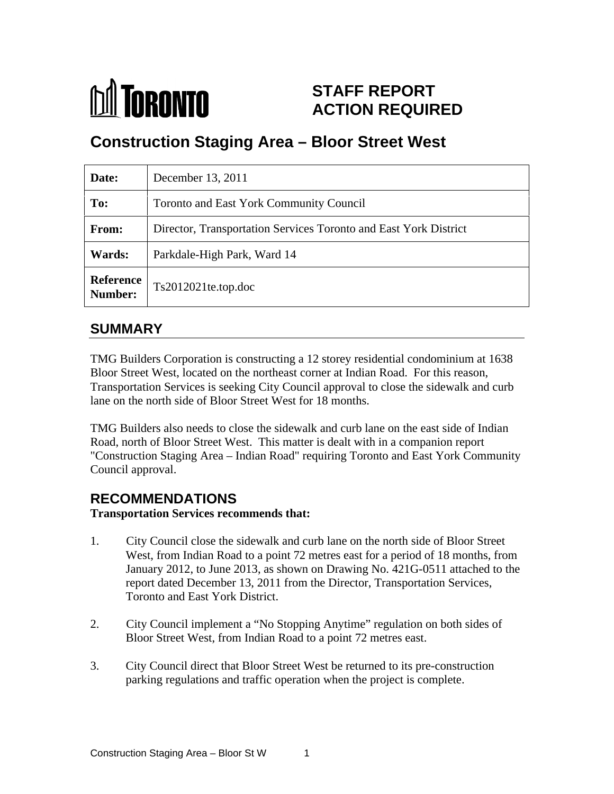

# **STAFF REPORT ACTION REQUIRED**

# **Construction Staging Area – Bloor Street West**

| Date:   | December 13, 2011                                                |
|---------|------------------------------------------------------------------|
| To:     | Toronto and East York Community Council                          |
| From:   | Director, Transportation Services Toronto and East York District |
| Wards:  | Parkdale-High Park, Ward 14                                      |
| Number: | Reference $ $ Ts2012021te.top.doc                                |

## **SUMMARY**

TMG Builders Corporation is constructing a 12 storey residential condominium at 1638 Bloor Street West, located on the northeast corner at Indian Road. For this reason, Transportation Services is seeking City Council approval to close the sidewalk and curb lane on the north side of Bloor Street West for 18 months.

TMG Builders also needs to close the sidewalk and curb lane on the east side of Indian Road, north of Bloor Street West. This matter is dealt with in a companion report "Construction Staging Area – Indian Road" requiring Toronto and East York Community Council approval.

# **RECOMMENDATIONS**

**Transportation Services recommends that:**

- 1. City Council close the sidewalk and curb lane on the north side of Bloor Street West, from Indian Road to a point 72 metres east for a period of 18 months, from January 2012, to June 2013, as shown on Drawing No. 421G-0511 attached to the report dated December 13, 2011 from the Director, Transportation Services, Toronto and East York District.
- 2. City Council implement a "No Stopping Anytime" regulation on both sides of Bloor Street West, from Indian Road to a point 72 metres east.
- 3. City Council direct that Bloor Street West be returned to its pre-construction parking regulations and traffic operation when the project is complete.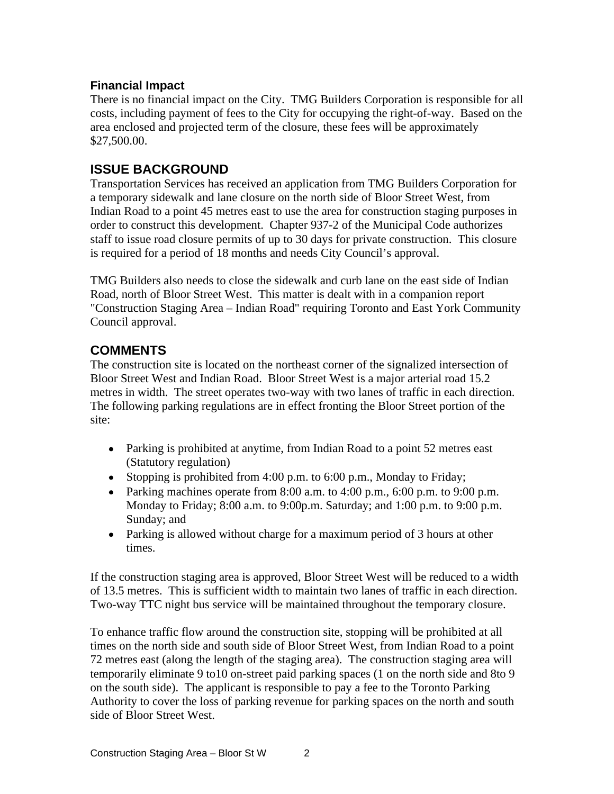## **Financial Impact**

There is no financial impact on the City. TMG Builders Corporation is responsible for all costs, including payment of fees to the City for occupying the right-of-way. Based on the area enclosed and projected term of the closure, these fees will be approximately  $$27,500.00.$ 

## **ISSUE BACKGROUND**

Transportation Services has received an application from TMG Builders Corporation for a temporary sidewalk and lane closure on the north side of Bloor Street West, from Indian Road to a point 45 metres east to use the area for construction staging purposes in order to construct this development. Chapter 937-2 of the Municipal Code authorizes staff to issue road closure permits of up to 30 days for private construction. This closure is required for a period of 18 months and needs City Council's approval.

TMG Builders also needs to close the sidewalk and curb lane on the east side of Indian Road, north of Bloor Street West. This matter is dealt with in a companion report "Construction Staging Area – Indian Road" requiring Toronto and East York Community Council approval.

## **COMMENTS**

The construction site is located on the northeast corner of the signalized intersection of Bloor Street West and Indian Road. Bloor Street West is a major arterial road 15.2 metres in width. The street operates two-way with two lanes of traffic in each direction. The following parking regulations are in effect fronting the Bloor Street portion of the site:

- Parking is prohibited at anytime, from Indian Road to a point 52 metres east (Statutory regulation)
- Stopping is prohibited from 4:00 p.m. to 6:00 p.m., Monday to Friday;
- Parking machines operate from  $8:00$  a.m. to  $4:00$  p.m.,  $6:00$  p.m. to  $9:00$  p.m. Monday to Friday; 8:00 a.m. to 9:00p.m. Saturday; and 1:00 p.m. to 9:00 p.m. Sunday; and subset of the state of the state of the state of the state of the state of the state of the state of the state of the state of the state of the state of the state of the state of the state of the state of the s
- Parking is allowed without charge for a maximum period of 3 hours at other times.

If the construction staging area is approved, Bloor Street West will be reduced to a width of 13.5 metres. This is sufficient width to maintain two lanes of traffic in each direction. Two-way TTC night bus service will be maintained throughout the temporary closure.

To enhance traffic flow around the construction site, stopping will be prohibited at all times on the north side and south side of Bloor Street West, from Indian Road to a point 72 metres east (along the length of the staging area). The construction staging area will temporarily eliminate 9 to10 on-street paid parking spaces (1 on the north side and 8to 9 on the south side). The applicant is responsible to pay a fee to the Toronto Parking Authority to cover the loss of parking revenue for parking spaces on the north and south side of Bloor Street West.